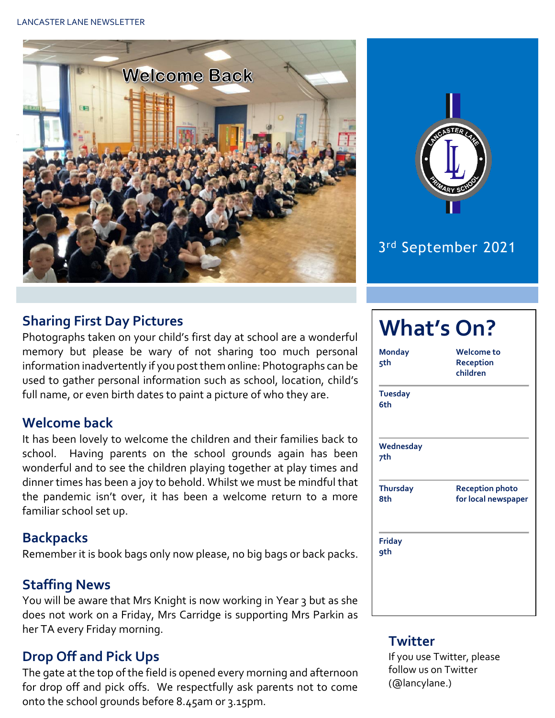



## 3 rd September 2021

### **Sharing First Day Pictures**

Photographs taken on your child's first day at school are a wonderful memory but please be wary of not sharing too much personal information inadvertently if you post them online: Photographs can be used to gather personal information such as school, location, child's full name, or even birth dates to paint a picture of who they are.

#### **Welcome back**

It has been lovely to welcome the children and their families back to school. Having parents on the school grounds again has been wonderful and to see the children playing together at play times and dinner times has been a joy to behold. Whilst we must be mindful that the pandemic isn't over, it has been a welcome return to a more familiar school set up.

#### **Backpacks**

Remember it is book bags only now please, no big bags or back packs.

#### **Staffing News**

You will be aware that Mrs Knight is now working in Year 3 but as she does not work on a Friday, Mrs Carridge is supporting Mrs Parkin as her TA every Friday morning.

## **Drop Off and Pick Ups**

The gate at the top of the field is opened every morning and afternoon for drop off and pick offs. We respectfully ask parents not to come onto the school grounds before 8.45am or 3.15pm.

| <b>Monday</b><br>5th   | Welcome to<br>Reception<br>children           |
|------------------------|-----------------------------------------------|
| <b>Tuesday</b><br>6th  |                                               |
| Wednesday<br>7th       |                                               |
| <b>Thursday</b><br>8th | <b>Reception photo</b><br>for local newspaper |
| <b>Friday</b>          |                                               |

#### **Twitter**

If you use Twitter, please follow us on Twitter (@lancylane.)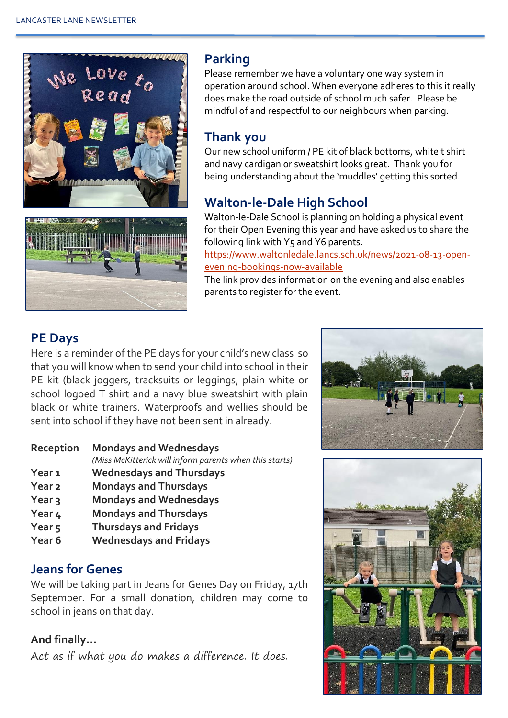



## **Parking**

Please remember we have a voluntary one way system in operation around school. When everyone adheres to this it really does make the road outside of school much safer. Please be mindful of and respectful to our neighbours when parking.

## **Thank you**

Our new school uniform / PE kit of black bottoms, white t shirt and navy cardigan or sweatshirt looks great. Thank you for being understanding about the 'muddles' getting this sorted.

## **Walton-le-Dale High School**

Walton-le-Dale School is planning on holding a physical event for their Open Evening this year and have asked us to share the following link with Y5 and Y6 parents.

[https://www.waltonledale.lancs.sch.uk/news/2021-08-13-open](https://www.waltonledale.lancs.sch.uk/news/2021-08-13-open-evening-bookings-now-available)[evening-bookings-now-available](https://www.waltonledale.lancs.sch.uk/news/2021-08-13-open-evening-bookings-now-available)

The link provides information on the evening and also enables parents to register for the event.

## **PE Days**

Here is a reminder of the PE days for your child's new class so that you will know when to send your child into school in their PE kit (black joggers, tracksuits or leggings, plain white or school logoed T shirt and a navy blue sweatshirt with plain black or white trainers. Waterproofs and wellies should be sent into school if they have not been sent in already.

#### **Reception Mondays and Wednesdays**

*(Miss McKitterick will inform parents when this starts)* 

- **Year 1 Wednesdays and Thursdays**
- **Year 2 Mondays and Thursdays**
- **Year 3 Mondays and Wednesdays**
- **Year 4 Mondays and Thursdays**
- **Year 5 Thursdays and Fridays**
- **Year 6 Wednesdays and Fridays**

### **Jeans for Genes**

We will be taking part in Jeans for Genes Day on Friday, 17th September. For a small donation, children may come to school in jeans on that day.

### **And finally…**

Act as if what you do makes a difference. It does.